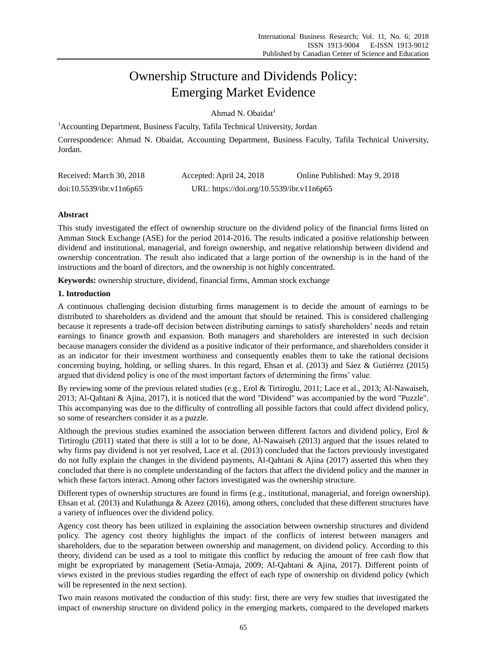# Ownership Structure and Dividends Policy: Emerging Market Evidence

Ahmad N. Obaidat<sup>1</sup>

<sup>1</sup> Accounting Department, Business Faculty, Tafila Technical University, Jordan

Correspondence: Ahmad N. Obaidat, Accounting Department, Business Faculty, Tafila Technical University, Jordan.

| Received: March 30, 2018 | Accepted: April 24, 2018                  | Online Published: May 9, 2018 |
|--------------------------|-------------------------------------------|-------------------------------|
| doi:10.5539/ibr.v11n6p65 | URL: https://doi.org/10.5539/ibr.v11n6p65 |                               |

# **Abstract**

This study investigated the effect of ownership structure on the dividend policy of the financial firms listed on Amman Stock Exchange (ASE) for the period 2014-2016. The results indicated a positive relationship between dividend and institutional, managerial, and foreign ownership, and negative relationship between dividend and ownership concentration. The result also indicated that a large portion of the ownership is in the hand of the instructions and the board of directors, and the ownership is not highly concentrated.

**Keywords:** ownership structure, dividend, financial firms, Amman stock exchange

# **1. Introduction**

A continuous challenging decision disturbing firms management is to decide the amount of earnings to be distributed to shareholders as dividend and the amount that should be retained. This is considered challenging because it represents a trade-off decision between distributing earnings to satisfy shareholders' needs and retain earnings to finance growth and expansion. Both managers and shareholders are interested in such decision because managers consider the dividend as a positive indicator of their performance, and shareholders consider it as an indicator for their investment worthiness and consequently enables them to take the rational decisions concerning buying, holding, or selling shares. In this regard, Ehsan et al. (2013) and Sáez & Gutiérrez (2015) argued that dividend policy is one of the most important factors of determining the firms' value.

By reviewing some of the previous related studies (e.g., Erol & Tirtiroglu, 2011; Lace et al., 2013; Al-Nawaiseh, 2013; Al-Qahtani & Ajina, 2017), it is noticed that the word "Dividend" was accompanied by the word "Puzzle". This accompanying was due to the difficulty of controlling all possible factors that could affect dividend policy, so some of researchers consider it as a puzzle.

Although the previous studies examined the association between different factors and dividend policy, Erol & Tirtiroglu (2011) stated that there is still a lot to be done, Al-Nawaiseh (2013) argued that the issues related to why firms pay dividend is not yet resolved, Lace et al. (2013) concluded that the factors previously investigated do not fully explain the changes in the dividend payments, Al-Qahtani & Ajina (2017) asserted this when they concluded that there is no complete understanding of the factors that affect the dividend policy and the manner in which these factors interact. Among other factors investigated was the ownership structure.

Different types of ownership structures are found in firms (e.g., institutional, managerial, and foreign ownership). Ehsan et al. (2013) and Kulathunga & Azeez (2016), among others, concluded that these different structures have a variety of influences over the dividend policy.

Agency cost theory has been utilized in explaining the association between ownership structures and dividend policy. The agency cost theory highlights the impact of the conflicts of interest between managers and shareholders, due to the separation between ownership and management, on dividend policy. According to this theory, dividend can be used as a tool to mitigate this conflict by reducing the amount of free cash flow that might be expropriated by management (Setia-Atmaja, 2009; Al-Qahtani & Ajina, 2017). Different points of views existed in the previous studies regarding the effect of each type of ownership on dividend policy (which will be represented in the next section).

Two main reasons motivated the conduction of this study: first, there are very few studies that investigated the impact of ownership structure on dividend policy in the emerging markets, compared to the developed markets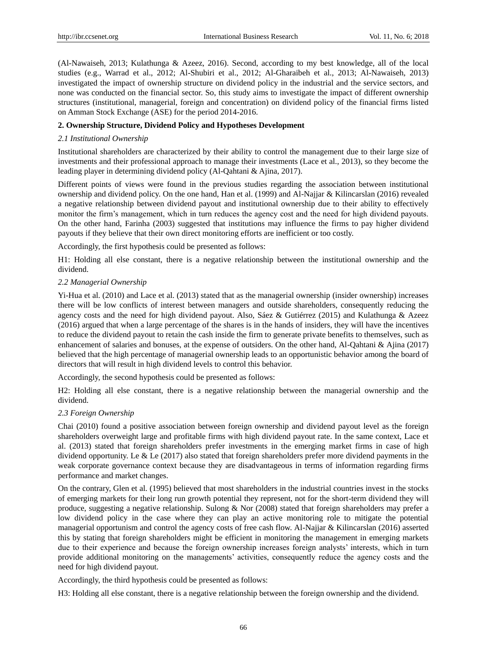(Al-Nawaiseh, 2013; Kulathunga & Azeez, 2016). Second, according to my best knowledge, all of the local studies (e.g., Warrad et al., 2012; Al-Shubiri et al., 2012; Al-Gharaibeh et al., 2013; Al-Nawaiseh, 2013) investigated the impact of ownership structure on dividend policy in the industrial and the service sectors, and none was conducted on the financial sector. So, this study aims to investigate the impact of different ownership structures (institutional, managerial, foreign and concentration) on dividend policy of the financial firms listed on Amman Stock Exchange (ASE) for the period 2014-2016.

# **2. Ownership Structure, Dividend Policy and Hypotheses Development**

# *2.1 Institutional Ownership*

Institutional shareholders are characterized by their ability to control the management due to their large size of investments and their professional approach to manage their investments (Lace et al., 2013), so they become the leading player in determining dividend policy (Al-Qahtani & Ajina, 2017).

Different points of views were found in the previous studies regarding the association between institutional ownership and dividend policy. On the one hand, Han et al. (1999) and Al-Najjar & Kilincarslan (2016) revealed a negative relationship between dividend payout and institutional ownership due to their ability to effectively monitor the firm's management, which in turn reduces the agency cost and the need for high dividend payouts. On the other hand, Farinha (2003) suggested that institutions may influence the firms to pay higher dividend payouts if they believe that their own direct monitoring efforts are inefficient or too costly.

Accordingly, the first hypothesis could be presented as follows:

H1: Holding all else constant, there is a negative relationship between the institutional ownership and the dividend.

### *2.2 Managerial Ownership*

Yi-Hua et al. (2010) and Lace et al. (2013) stated that as the managerial ownership (insider ownership) increases there will be low conflicts of interest between managers and outside shareholders, consequently reducing the agency costs and the need for high dividend payout. Also,  $S$   $\&z \& G$ uti érrez (2015) and Kulathunga  $\& A$ zeez (2016) argued that when a large percentage of the shares is in the hands of insiders, they will have the incentives to reduce the dividend payout to retain the cash inside the firm to generate private benefits to themselves, such as enhancement of salaries and bonuses, at the expense of outsiders. On the other hand, Al-Qahtani & Ajina (2017) believed that the high percentage of managerial ownership leads to an opportunistic behavior among the board of directors that will result in high dividend levels to control this behavior.

Accordingly, the second hypothesis could be presented as follows:

H2: Holding all else constant, there is a negative relationship between the managerial ownership and the dividend.

# *2.3 Foreign Ownership*

Chai (2010) found a positive association between foreign ownership and dividend payout level as the foreign shareholders overweight large and profitable firms with high dividend payout rate. In the same context, Lace et al. (2013) stated that foreign shareholders prefer investments in the emerging market firms in case of high dividend opportunity. Le & Le (2017) also stated that foreign shareholders prefer more dividend payments in the weak corporate governance context because they are disadvantageous in terms of information regarding firms performance and market changes.

On the contrary, Glen et al. (1995) believed that most shareholders in the industrial countries invest in the stocks of emerging markets for their long run growth potential they represent, not for the short-term dividend they will produce, suggesting a negative relationship. Sulong & Nor (2008) stated that foreign shareholders may prefer a low dividend policy in the case where they can play an active monitoring role to mitigate the potential managerial opportunism and control the agency costs of free cash flow. Al-Najjar & Kilincarslan (2016) asserted this by stating that foreign shareholders might be efficient in monitoring the management in emerging markets due to their experience and because the foreign ownership increases foreign analysts' interests, which in turn provide additional monitoring on the managements' activities, consequently reduce the agency costs and the need for high dividend payout.

Accordingly, the third hypothesis could be presented as follows:

H3: Holding all else constant, there is a negative relationship between the foreign ownership and the dividend.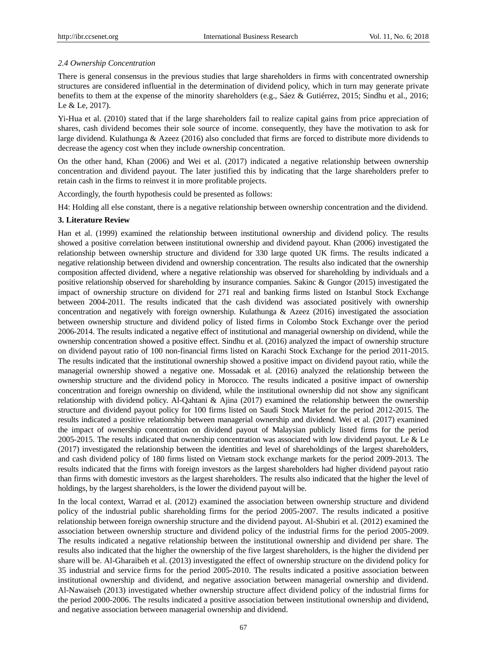# *2.4 Ownership Concentration*

There is general consensus in the previous studies that large shareholders in firms with concentrated ownership structures are considered influential in the determination of dividend policy, which in turn may generate private benefits to them at the expense of the minority shareholders (e.g., S áez & Guti érrez, 2015; Sindhu et al., 2016; Le & Le, 2017).

Yi-Hua et al. (2010) stated that if the large shareholders fail to realize capital gains from price appreciation of shares, cash dividend becomes their sole source of income. consequently, they have the motivation to ask for large dividend. Kulathunga & Azeez (2016) also concluded that firms are forced to distribute more dividends to decrease the agency cost when they include ownership concentration.

On the other hand, Khan (2006) and Wei et al. (2017) indicated a negative relationship between ownership concentration and dividend payout. The later justified this by indicating that the large shareholders prefer to retain cash in the firms to reinvest it in more profitable projects.

Accordingly, the fourth hypothesis could be presented as follows:

H4: Holding all else constant, there is a negative relationship between ownership concentration and the dividend.

# **3. Literature Review**

Han et al. (1999) examined the relationship between institutional ownership and dividend policy. The results showed a positive correlation between institutional ownership and dividend payout. Khan (2006) investigated the relationship between ownership structure and dividend for 330 large quoted UK firms. The results indicated a negative relationship between dividend and ownership concentration. The results also indicated that the ownership composition affected dividend, where a negative relationship was observed for shareholding by individuals and a positive relationship observed for shareholding by insurance companies. Sakinc & Gungor (2015) investigated the impact of ownership structure on dividend for 271 real and banking firms listed on Istanbul Stock Exchange between 2004-2011. The results indicated that the cash dividend was associated positively with ownership concentration and negatively with foreign ownership. Kulathunga & Azeez (2016) investigated the association between ownership structure and dividend policy of listed firms in Colombo Stock Exchange over the period 2006-2014. The results indicated a negative effect of institutional and managerial ownership on dividend, while the ownership concentration showed a positive effect. Sindhu et al. (2016) analyzed the impact of ownership structure on dividend payout ratio of 100 non-financial firms listed on Karachi Stock Exchange for the period 2011-2015. The results indicated that the institutional ownership showed a positive impact on dividend payout ratio, while the managerial ownership showed a negative one. Mossadak et al. (2016) analyzed the relationship between the ownership structure and the dividend policy in Morocco. The results indicated a positive impact of ownership concentration and foreign ownership on dividend, while the institutional ownership did not show any significant relationship with dividend policy. Al-Qahtani & Ajina (2017) examined the relationship between the ownership structure and dividend payout policy for 100 firms listed on Saudi Stock Market for the period 2012-2015. The results indicated a positive relationship between managerial ownership and dividend. Wei et al. (2017) examined the impact of ownership concentration on dividend payout of Malaysian publicly listed firms for the period 2005-2015. The results indicated that ownership concentration was associated with low dividend payout. Le & Le (2017) investigated the relationship between the identities and level of shareholdings of the largest shareholders, and cash dividend policy of 180 firms listed on Vietnam stock exchange markets for the period 2009-2013. The results indicated that the firms with foreign investors as the largest shareholders had higher dividend payout ratio than firms with domestic investors as the largest shareholders. The results also indicated that the higher the level of holdings, by the largest shareholders, is the lower the dividend payout will be.

In the local context, Warrad et al. (2012) examined the association between ownership structure and dividend policy of the industrial public shareholding firms for the period 2005-2007. The results indicated a positive relationship between foreign ownership structure and the dividend payout. Al-Shubiri et al. (2012) examined the association between ownership structure and dividend policy of the industrial firms for the period 2005-2009. The results indicated a negative relationship between the institutional ownership and dividend per share. The results also indicated that the higher the ownership of the five largest shareholders, is the higher the dividend per share will be. Al-Gharaibeh et al. (2013) investigated the effect of ownership structure on the dividend policy for 35 industrial and service firms for the period 2005-2010. The results indicated a positive association between institutional ownership and dividend, and negative association between managerial ownership and dividend. Al-Nawaiseh (2013) investigated whether ownership structure affect dividend policy of the industrial firms for the period 2000-2006. The results indicated a positive association between institutional ownership and dividend, and negative association between managerial ownership and dividend.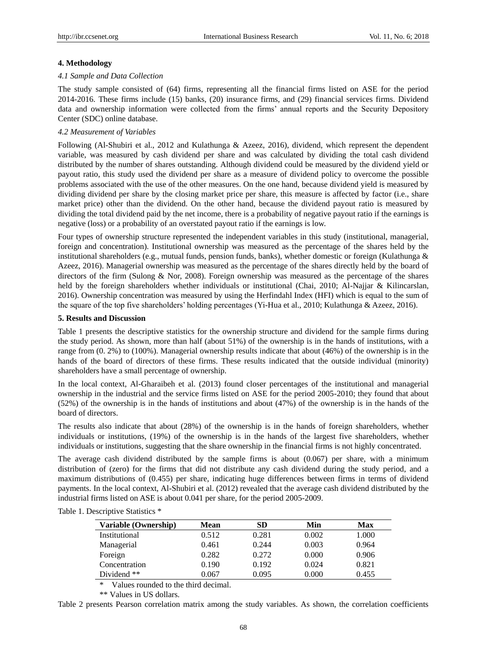#### **4. Methodology**

#### *4.1 Sample and Data Collection*

The study sample consisted of (64) firms, representing all the financial firms listed on ASE for the period 2014-2016. These firms include (15) banks, (20) insurance firms, and (29) financial services firms. Dividend data and ownership information were collected from the firms' annual reports and the Security Depository Center (SDC) online database.

#### *4.2 Measurement of Variables*

Following (Al-Shubiri et al., 2012 and Kulathunga & Azeez, 2016), dividend, which represent the dependent variable, was measured by cash dividend per share and was calculated by dividing the total cash dividend distributed by the number of shares outstanding. Although dividend could be measured by the dividend yield or payout ratio, this study used the dividend per share as a measure of dividend policy to overcome the possible problems associated with the use of the other measures. On the one hand, because dividend yield is measured by dividing dividend per share by the closing market price per share, this measure is affected by factor (i.e., share market price) other than the dividend. On the other hand, because the dividend payout ratio is measured by dividing the total dividend paid by the net income, there is a probability of negative payout ratio if the earnings is negative (loss) or a probability of an overstated payout ratio if the earnings is low.

Four types of ownership structure represented the independent variables in this study (institutional, managerial, foreign and concentration). Institutional ownership was measured as the percentage of the shares held by the institutional shareholders (e.g., mutual funds, pension funds, banks), whether domestic or foreign (Kulathunga  $\&$ Azeez, 2016). Managerial ownership was measured as the percentage of the shares directly held by the board of directors of the firm (Sulong & Nor, 2008). Foreign ownership was measured as the percentage of the shares held by the foreign shareholders whether individuals or institutional (Chai, 2010; Al-Najjar & Kilincarslan, 2016). Ownership concentration was measured by using the Herfindahl Index (HFI) which is equal to the sum of the square of the top five shareholders' holding percentages (Yi-Hua et al., 2010; Kulathunga & Azeez, 2016).

#### **5. Results and Discussion**

Table 1 presents the descriptive statistics for the ownership structure and dividend for the sample firms during the study period. As shown, more than half (about 51%) of the ownership is in the hands of institutions, with a range from (0. 2%) to (100%). Managerial ownership results indicate that about (46%) of the ownership is in the hands of the board of directors of these firms. These results indicated that the outside individual (minority) shareholders have a small percentage of ownership.

In the local context, Al-Gharaibeh et al. (2013) found closer percentages of the institutional and managerial ownership in the industrial and the service firms listed on ASE for the period 2005-2010; they found that about (52%) of the ownership is in the hands of institutions and about (47%) of the ownership is in the hands of the board of directors.

The results also indicate that about (28%) of the ownership is in the hands of foreign shareholders, whether individuals or institutions, (19%) of the ownership is in the hands of the largest five shareholders, whether individuals or institutions, suggesting that the share ownership in the financial firms is not highly concentrated.

The average cash dividend distributed by the sample firms is about (0.067) per share, with a minimum distribution of (zero) for the firms that did not distribute any cash dividend during the study period, and a maximum distributions of (0.455) per share, indicating huge differences between firms in terms of dividend payments. In the local context, Al-Shubiri et al. (2012) revealed that the average cash dividend distributed by the industrial firms listed on ASE is about 0.041 per share, for the period 2005-2009.

| Variable (Ownership) | Mean  | SD    | Min   | Max   |
|----------------------|-------|-------|-------|-------|
| Institutional        | 0.512 | 0.281 | 0.002 | 1.000 |
| Managerial           | 0.461 | 0.244 | 0.003 | 0.964 |
| Foreign              | 0.282 | 0.272 | 0.000 | 0.906 |
| Concentration        | 0.190 | 0.192 | 0.024 | 0.821 |
| Dividend **          | 0.067 | 0.095 | 0.000 | 0.455 |

Table 1. Descriptive Statistics \*

\* Values rounded to the third decimal.

\*\* Values in US dollars.

Table 2 presents Pearson correlation matrix among the study variables. As shown, the correlation coefficients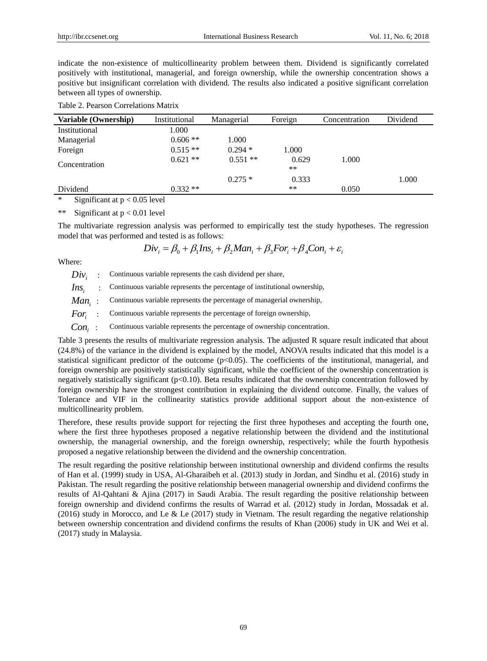indicate the non-existence of multicollinearity problem between them. Dividend is significantly correlated positively with institutional, managerial, and foreign ownership, while the ownership concentration shows a positive but insignificant correlation with dividend. The results also indicated a positive significant correlation between all types of ownership.

| Variable (Ownership) | Institutional | Managerial | Foreign        | Concentration | Dividend |
|----------------------|---------------|------------|----------------|---------------|----------|
| Institutional        | 1.000         |            |                |               |          |
| Managerial           | $0.606$ **    | 1.000      |                |               |          |
| Foreign              | $0.515**$     | $0.294*$   | 1.000          |               |          |
| Concentration        | $0.621**$     | $0.551$ ** | 0.629<br>$***$ | 1.000         |          |
|                      |               | $0.275*$   | 0.333          |               | 1.000    |
| Dividend             | $0.332**$     |            | $***$          | 0.050         |          |

\* Significant at  $p < 0.05$  level

\*\* Significant at  $p < 0.01$  level

The multivariate regression analysis was performed to empirically test the study hypotheses. The regression model that was performed and tested is as follows:

 $Div_i = \beta_0 + \beta_1 Ins_i + \beta_2 Man_i + \beta_3 For_i + \beta_4 Con_i + \varepsilon_i$ 

Where:

 $Div$  : Continuous variable represents the cash dividend per share, Ins, Continuous variable represents the percentage of institutional ownership, *Man<sup>i</sup>* : Continuous variable represents the percentage of managerial ownership, *For<sup>i</sup>* : Continuous variable represents the percentage of foreign ownership, *Con<sup>i</sup>* : Continuous variable represents the percentage of ownership concentration.

Table 3 presents the results of multivariate regression analysis. The adjusted R square result indicated that about (24.8%) of the variance in the dividend is explained by the model, ANOVA results indicated that this model is a statistical significant predictor of the outcome  $(p<0.05)$ . The coefficients of the institutional, managerial, and foreign ownership are positively statistically significant, while the coefficient of the ownership concentration is negatively statistically significant (p<0.10). Beta results indicated that the ownership concentration followed by foreign ownership have the strongest contribution in explaining the dividend outcome. Finally, the values of Tolerance and VIF in the collinearity statistics provide additional support about the non-existence of multicollinearity problem.

Therefore, these results provide support for rejecting the first three hypotheses and accepting the fourth one, where the first three hypotheses proposed a negative relationship between the dividend and the institutional ownership, the managerial ownership, and the foreign ownership, respectively; while the fourth hypothesis proposed a negative relationship between the dividend and the ownership concentration.

The result regarding the positive relationship between institutional ownership and dividend confirms the results of Han et al. (1999) study in USA, Al-Gharaibeh et al. (2013) study in Jordan, and Sindhu et al. (2016) study in Pakistan. The result regarding the positive relationship between managerial ownership and dividend confirms the results of Al-Qahtani & Ajina (2017) in Saudi Arabia. The result regarding the positive relationship between foreign ownership and dividend confirms the results of Warrad et al. (2012) study in Jordan, Mossadak et al. (2016) study in Morocco, and Le & Le (2017) study in Vietnam. The result regarding the negative relationship between ownership concentration and dividend confirms the results of Khan (2006) study in UK and Wei et al. (2017) study in Malaysia.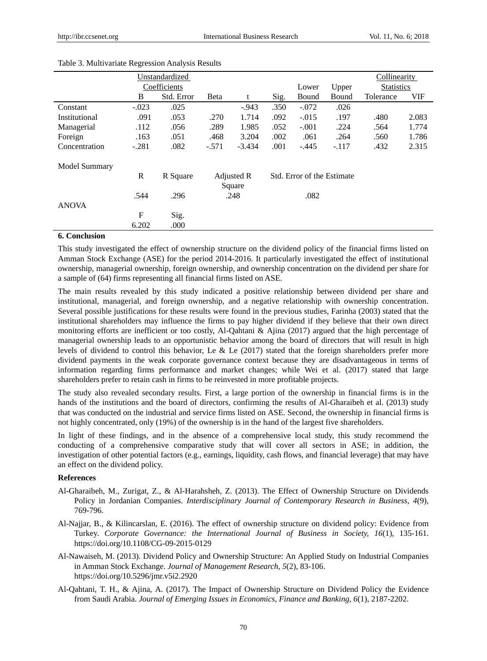|               | Unstandardized |              |            |          |                            | Collinearity   |         |                   |       |
|---------------|----------------|--------------|------------|----------|----------------------------|----------------|---------|-------------------|-------|
|               |                | Coefficients |            |          |                            | Lower<br>Upper |         | <b>Statistics</b> |       |
|               | B              | Std. Error   | Beta       | t        | Sig.                       | Bound          | Bound   | Tolerance         | VIF   |
| Constant      | $-.023$        | .025         |            | $-0.943$ | .350                       | $-.072$        | .026    |                   |       |
| Institutional | .091           | .053         | .270       | 1.714    | .092                       | $-.015$        | .197    | .480              | 2.083 |
| Managerial    | .112           | .056         | .289       | 1.985    | .052                       | $-.001$        | .224    | .564              | 1.774 |
| Foreign       | .163           | .051         | .468       | 3.204    | .002                       | .061           | .264    | .560              | 1.786 |
| Concentration | $-.281$        | .082         | $-.571$    | $-3.434$ | .001                       | $-.445$        | $-.117$ | .432              | 2.315 |
| Model Summary |                |              |            |          |                            |                |         |                   |       |
|               | R              | R Square     | Adjusted R |          | Std. Error of the Estimate |                |         |                   |       |
|               |                |              | Square     |          |                            |                |         |                   |       |
|               | .544           | .296         |            | .248     |                            | .082           |         |                   |       |
| <b>ANOVA</b>  |                |              |            |          |                            |                |         |                   |       |
|               | F              | Sig.         |            |          |                            |                |         |                   |       |
|               | 6.202          | .000         |            |          |                            |                |         |                   |       |

#### Table 3. Multivariate Regression Analysis Results

# **6. Conclusion**

This study investigated the effect of ownership structure on the dividend policy of the financial firms listed on Amman Stock Exchange (ASE) for the period 2014-2016. It particularly investigated the effect of institutional ownership, managerial ownership, foreign ownership, and ownership concentration on the dividend per share for a sample of (64) firms representing all financial firms listed on ASE.

The main results revealed by this study indicated a positive relationship between dividend per share and institutional, managerial, and foreign ownership, and a negative relationship with ownership concentration. Several possible justifications for these results were found in the previous studies, Farinha (2003) stated that the institutional shareholders may influence the firms to pay higher dividend if they believe that their own direct monitoring efforts are inefficient or too costly, Al-Qahtani & Ajina (2017) argued that the high percentage of managerial ownership leads to an opportunistic behavior among the board of directors that will result in high levels of dividend to control this behavior, Le & Le (2017) stated that the foreign shareholders prefer more dividend payments in the weak corporate governance context because they are disadvantageous in terms of information regarding firms performance and market changes; while Wei et al. (2017) stated that large shareholders prefer to retain cash in firms to be reinvested in more profitable projects.

The study also revealed secondary results. First, a large portion of the ownership in financial firms is in the hands of the institutions and the board of directors, confirming the results of Al-Gharaibeh et al. (2013) study that was conducted on the industrial and service firms listed on ASE. Second, the ownership in financial firms is not highly concentrated, only (19%) of the ownership is in the hand of the largest five shareholders.

In light of these findings, and in the absence of a comprehensive local study, this study recommend the conducting of a comprehensive comparative study that will cover all sectors in ASE; in addition, the investigation of other potential factors (e.g., earnings, liquidity, cash flows, and financial leverage) that may have an effect on the dividend policy.

#### **References**

- Al-Gharaibeh, M., Zurigat, Z., & Al-Harahsheh, Z. (2013). The Effect of Ownership Structure on Dividends Policy in Jordanian Companies. *Interdisciplinary Journal of Contemporary Research in Business, 4*(9), 769-796.
- Al-Najjar, B., & Kilincarslan, E. (2016). The effect of ownership structure on dividend policy: Evidence from Turkey. *Corporate Governance: the International Journal of Business in Society, 16*(1), 135-161. https://doi.org/10.1108/CG-09-2015-0129
- Al-Nawaiseh, M. (2013). Dividend Policy and Ownership Structure: An Applied Study on Industrial Companies in Amman Stock Exchange. *Journal of Management Research, 5*(2), 83-106. https://doi.org/10.5296/jmr.v5i2.2920
- Al-Qahtani, T. H., & Ajina, A. (2017). The Impact of Ownership Structure on Dividend Policy the Evidence from Saudi Arabia. *Journal of Emerging Issues in Economics, Finance and Banking, 6*(1), 2187-2202.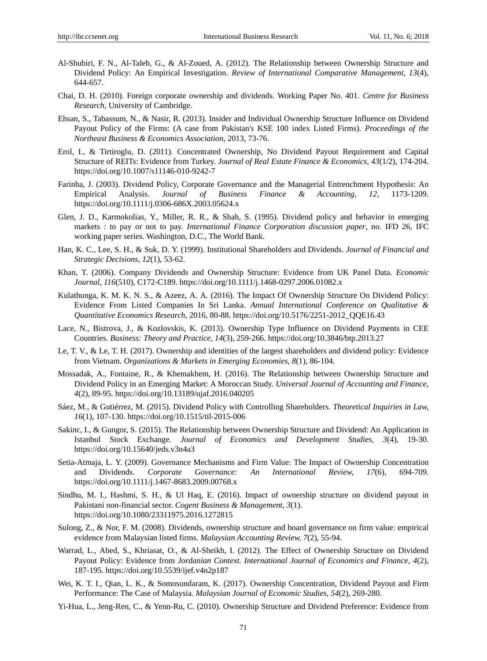- Al-Shubiri, F. N., Al-Taleb, G., & Al-Zoued, A. (2012). The Relationship between Ownership Structure and Dividend Policy: An Empirical Investigation. *Review of International Comparative Management, 13*(4), 644-657.
- Chai, D. H. (2010). Foreign corporate ownership and dividends. Working Paper No. 401. *Centre for Business Research*, University of Cambridge.
- Ehsan, S., Tabassum, N., & Nasir, R. (2013). Insider and Individual Ownership Structure Influence on Dividend Payout Policy of the Firms: (A case from Pakistan's KSE 100 index Listed Firms). *Proceedings of the Northeast Business & Economics Association*, 2013, 73-76.
- Erol, I., & Tirtiroglu, D. (2011). Concentrated Ownership, No Dividend Payout Requirement and Capital Structure of REITs: Evidence from Turkey. *Journal of Real Estate Finance & Economics, 43*(1/2), 174-204. https://doi.org/10.1007/s11146-010-9242-7
- Farinha, J. (2003). Dividend Policy, Corporate Governance and the Managerial Entrenchment Hypothesis: An Empirical Analysis. *Journal of Business Finance & Accounting, 12*, 1173-1209. https://doi.org/10.1111/j.0306-686X.2003.05624.x
- Glen, J. D., Karmokolias, Y., Miller, R. R., & Shah, S. (1995). Dividend policy and behavior in emerging markets : to pay or not to pay. *International Finance Corporation discussion paper*, no. IFD 26, IFC working paper series. Washington, D.C., The World Bank.
- Han, K. C., Lee, S. H., & Suk, D. Y. (1999). Institutional Shareholders and Dividends. *Journal of Financial and Strategic Decisions, 12*(1), 53-62.
- Khan, T. (2006). Company Dividends and Ownership Structure: Evidence from UK Panel Data. *Economic Journal, 116*(510), C172-C189. https://doi.org/10.1111/j.1468-0297.2006.01082.x
- Kulathunga, K. M. K. N. S., & Azeez, A. A. (2016). The Impact Of Ownership Structure On Dividend Policy: Evidence From Listed Companies In Sri Lanka. *Annual International Conference on Qualitative & Quantitative Economics Research*, 2016, 80-88. [https://doi.org/10.5176/2251-2012\\_QQE16.43](https://doi.org/10.5176/2251-2012_QQE16.43)
- Lace, N., Bistrova, J., & Kozlovskis, K. (2013). Ownership Type Influence on Dividend Payments in CEE Countries. *Business: Theory and Practice, 14*(3), 259-266.<https://doi.org/10.3846/btp.2013.27>
- Le, T. V., & Le, T. H. (2017). Ownership and identities of the largest shareholders and dividend policy: Evidence from Vietnam. *Organizations & Markets in Emerging Economies, 8*(1), 86-104.
- Mossadak, A., Fontaine, R., & Khemakhem, H. (2016). The Relationship between Ownership Structure and Dividend Policy in an Emerging Market: A Moroccan Study. *Universal Journal of Accounting and Finance, 4*(2), 89-95. https://doi.org/10.13189/ujaf.2016.040205
- Sáez, M., & Gutiérrez, M. (2015). Dividend Policy with Controlling Shareholders. *Theoretical Inquiries in Law, 16*(1), 107-130. https://doi.org/10.1515/til-2015-006
- Sakinc, I., & Gungor, S. (2015). The Relationship between Ownership Structure and Dividend: An Application in Istanbul Stock Exchange. *Journal of Economics and Development Studies, 3*(4), 19-30. https://doi.org/10.15640/jeds.v3n4a3
- Setia-Atmaja, L. Y. (2009). Governance Mechanisms and Firm Value: The Impact of Ownership Concentration and Dividends. *Corporate Governance: An International Review, 17*(6), 694-709. https://doi.org/10.1111/j.1467-8683.2009.00768.x
- Sindhu, M. I., Hashmi, S. H., & Ul Haq, E. (2016). Impact of ownership structure on dividend payout in Pakistani non-financial sector. *Cogent Business & Management, 3*(1). https://doi.org/10.1080/23311975.2016.1272815
- Sulong, Z., & Nor, F. M. (2008). Dividends, ownership structure and board governance on firm value: empirical evidence from Malaysian listed firms. *Malaysian Accounting Review, 7*(2), 55-94.
- Warrad, L., Abed, S., Khriasat, O., & Al-Sheikh, I. (2012). The Effect of Ownership Structure on Dividend Payout Policy: Evidence from *Jordanian Context. International Journal of Economics and Finance, 4*(2), 187-195. https://doi.org/10.5539/ijef.v4n2p187
- Wei, K. T. I., Qian, L. K., & Somosundaram, K. (2017). Ownership Concentration, Dividend Payout and Firm Performance: The Case of Malaysia. *Malaysian Journal of Economic Studies, 54*(2), 269-280.
- Yi-Hua, L., Jeng-Ren, C., & Yenn-Ru, C. (2010). Ownership Structure and Dividend Preference: Evidence from